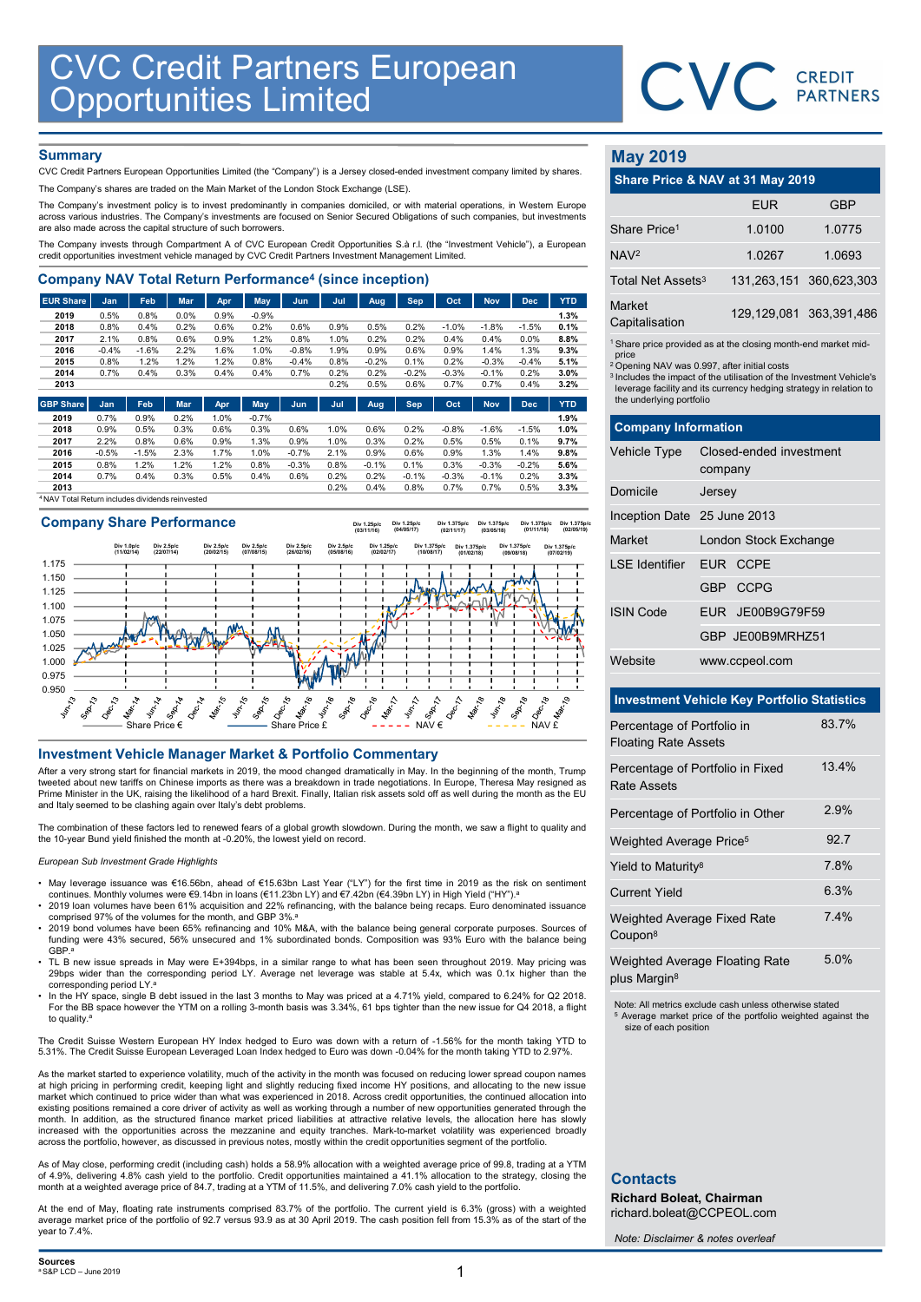

## **Summary**

| <b>CVC Credit Partners European</b><br><b>Opportunities Limited</b>                                                                                                                                |                 |                 |              |              |                 |                 |              |              |                 |                 |                 |              |              |                               | <b>CVC</b> CREDIT                                                             |            |
|----------------------------------------------------------------------------------------------------------------------------------------------------------------------------------------------------|-----------------|-----------------|--------------|--------------|-----------------|-----------------|--------------|--------------|-----------------|-----------------|-----------------|--------------|--------------|-------------------------------|-------------------------------------------------------------------------------|------------|
|                                                                                                                                                                                                    |                 |                 |              |              |                 |                 |              |              |                 |                 |                 |              |              |                               |                                                                               |            |
|                                                                                                                                                                                                    |                 |                 |              |              |                 |                 |              |              |                 |                 |                 |              |              |                               |                                                                               |            |
| <b>Summary</b><br>CVC Credit Partners European Opportunities Limited (the "Company") is a Jersey closed-ended investment company limited by shares.                                                |                 |                 |              |              |                 |                 |              |              |                 |                 |                 |              |              | <b>May 2019</b>               |                                                                               |            |
| The Company's shares are traded on the Main Market of the London Stock Exchange (LSE).                                                                                                             |                 |                 |              |              |                 |                 |              |              |                 |                 |                 |              |              |                               | Share Price & NAV at 31 May 2019                                              |            |
| The Company's investment policy is to invest predominantly in companies domiciled, or with material operations, in Western Europe                                                                  |                 |                 |              |              |                 |                 |              |              |                 |                 |                 |              |              |                               | <b>EUR</b>                                                                    | <b>GBP</b> |
| across various industries. The Company's investments are focused on Senior Secured Obligations of such companies, but investments<br>are also made across the capital structure of such borrowers. |                 |                 |              |              |                 |                 |              |              |                 |                 |                 |              |              | Share Price <sup>1</sup>      | 1.0100                                                                        | 1.0775     |
| The Company invests through Compartment A of CVC European Credit Opportunities S.à r.l. (the "Investment Vehicle"), a European                                                                     |                 |                 |              |              |                 |                 |              |              |                 |                 |                 |              |              |                               |                                                                               |            |
| credit opportunities investment vehicle managed by CVC Credit Partners Investment Management Limited.                                                                                              |                 |                 |              |              |                 |                 |              |              |                 |                 |                 |              |              | NAV <sup>2</sup>              | 1.0267                                                                        | 1.0693     |
| <b>Company NAV Total Return Performance<sup>4</sup> (since inception)</b>                                                                                                                          |                 |                 |              |              |                 |                 |              |              |                 |                 |                 |              |              | Total Net Assets <sup>3</sup> | 131,263,151                                                                   | 360,623,30 |
| <b>EUR Share</b>                                                                                                                                                                                   | <b>Jan</b>      | Feb             | <b>Mar</b>   | Apr          | <b>May</b>      | Jun             | Jul          | <b>Aug</b>   | <b>Sep</b>      | Oct             | <b>Nov</b>      | <b>Dec</b>   | <b>YTD</b>   | Market                        |                                                                               |            |
| 2019<br>2018                                                                                                                                                                                       | 0.5%<br>0.8%    | 0.8%<br>0.4%    | 0.0%<br>0.2% | 0.9%<br>0.6% | $-0.9%$<br>0.2% | 0.6%            | 0.9%         | 0.5%         | 0.2%            | $-1.0%$         | $-1.8%$         | $-1.5%$      | 1.3%<br>0.1% | Capitalisation                | 129, 129, 081 363, 391, 48                                                    |            |
| 2017                                                                                                                                                                                               | 2.1%            | 0.8%            | 0.6%         | 0.9%         | 1.2%            | 0.8%            | 1.0%         | 0.2%         | 0.2%            | 0.4%            | 0.4%            | 0.0%         | 8.8%         |                               |                                                                               |            |
| 2016                                                                                                                                                                                               | $-0.4%$         | $-1.6%$         | 2.2%         | 1.6%         | 1.0%            | $-0.8%$         | 1.9%         | 0.9%         | 0.6%            | 0.9%            | 1.4%            | 1.3%         | 9.3%         | price                         | <sup>1</sup> Share price provided as at the closing month-end market mid      |            |
| 2015                                                                                                                                                                                               | 0.8%            | 1.2%            | 1.2%         | 1.2%         | 0.8%            | $-0.4%$         | 0.8%         | $-0.2%$      | 0.1%            | 0.2%            | $-0.3%$         | $-0.4%$      | 5.1%         |                               | <sup>2</sup> Opening NAV was 0.997, after initial costs                       |            |
| 2014<br>2013                                                                                                                                                                                       | 0.7%            | 0.4%            | 0.3%         | 0.4%         | 0.4%            | 0.7%            | 0.2%<br>0.2% | 0.2%<br>0.5% | $-0.2%$<br>0.6% | $-0.3%$<br>0.7% | $-0.1%$<br>0.7% | 0.2%<br>0.4% | 3.0%<br>3.2% |                               | <sup>3</sup> Includes the impact of the utilisation of the Investment Vehicle |            |
|                                                                                                                                                                                                    |                 |                 |              |              |                 |                 |              |              |                 |                 |                 |              |              |                               | leverage facility and its currency hedging strategy in relation t             |            |
| <b>GBP Share</b>                                                                                                                                                                                   | Jan             | Feb             | <b>Mar</b>   | Apr          | May             | Jun.            | Jul          | Aug          | <b>Sep</b>      | Oct             | <b>Nov</b>      | <b>Dec</b>   | <b>YTD</b>   | the underlying portfolio      |                                                                               |            |
| 2019                                                                                                                                                                                               | 0.7%            | 0.9%            | 0.2%         | 1.0%         | $-0.7%$         |                 |              |              |                 |                 |                 |              | 1.9%         |                               |                                                                               |            |
| 2018                                                                                                                                                                                               | 0.9%            | 0.5%            | 0.3%         | 0.6%         | 0.3%            | 0.6%            | 1.0%         | 0.6%         | 0.2%            | $-0.8%$         | $-1.6%$         | $-1.5%$      | 1.0%         | <b>Company Information</b>    |                                                                               |            |
| 2017<br>2016                                                                                                                                                                                       | 2.2%<br>$-0.5%$ | 0.8%<br>$-1.5%$ | 0.6%<br>2.3% | 0.9%<br>1.7% | 1.3%<br>1.0%    | 0.9%<br>$-0.7%$ | 1.0%<br>2.1% | 0.3%<br>0.9% | 0.2%<br>0.6%    | 0.5%<br>0.9%    | 0.5%<br>1.3%    | 0.1%<br>1.4% | 9.7%<br>9.8% | Vehicle Type                  | Closed-ended investment                                                       |            |
| 2015                                                                                                                                                                                               | 0.8%            | 1.2%            | 1.2%         | 1.2%         | 0.8%            | $-0.3%$         | 0.8%         | $-0.1%$      | 0.1%            | 0.3%            | $-0.3%$         | $-0.2%$      | 5.6%         |                               |                                                                               |            |
| 2014                                                                                                                                                                                               | 0.7%            | 0.4%            | 0.3%         | 0.5%         | 0.4%            | 0.6%            | 0.2%         | 0.2%         | $-0.1%$         | $-0.3%$         | $-0.1%$         | 0.2%         | 3.3%         |                               | company                                                                       |            |
| 2013                                                                                                                                                                                               |                 |                 |              |              |                 |                 | 0.2%         | 0.4%         | 0.8%            | 0.7%            | 0.7%            | 0.5%         | 3.3%         | Domicile                      | Jersey                                                                        |            |
| NAV Total Return includes dividends reinvested                                                                                                                                                     |                 |                 |              |              |                 |                 |              |              |                 |                 |                 |              |              |                               |                                                                               |            |





After a very strong start for financial markets in 2019, the mood changed dramatically in May. In the beginning of the month, Trump tweeted about new tariffs on Chinese imports as there was a breakdown in trade negotiations. In Europe, Theresa May resigned as<br>Prime Minister in the UK, raising the likelihood of a hard Brexit. Finally, Italian risk asset and Italy seemed to be clashing again over Italy's debt problems.

The combination of these factors led to renewed fears of a global growth slowdown. During the month, we saw a flight to quality and the 10-year Bund yield finished the month at -0.20%, the lowest yield on record.

### European Sub Investment Grade Highlights

- May leverage issuance was €16.56bn, ahead of €15.63bn Last Year ("LY") for the first time in 2019 as the risk on sentiment continues. Monthly volumes were €9.14bn in loans (€11.23bn LY) and €7.42bn (€4.39bn LY) in High Yield ("HY").
- 2019 loan volumes have been 61% acquisition and 22% refinancing, with the balance being recaps. Euro denominated issuance comprised 97% of the volumes for the month, and GBP 3%.<sup>a</sup>
- 2019 bond volumes have been 65% refinancing and 10% M&A, with the balance being general corporate purposes. Sources of funding were 43% secured, 56% unsecured and 1% subordinated bonds. Composition was 93% Euro with the balance being GBP.<sup>a</sup>
- TL B new issue spreads in May were E+394bps, in a similar range to what has been seen throughout 2019. May pricing was 29bps wider than the corresponding period LY. Average net leverage was stable at 5.4x, which was 0.1x higher than the corresponding period LY.<sup>a</sup>
- In the HY space, single B debt issued in the last 3 months to May was priced at a 4.71% yield, compared to 6.24% for Q2 2018. For the BB space however the YTM on a rolling 3-month basis was 3.34%, 61 bps tighter than the new issue for Q4 2018, a flight to quality.<sup>a</sup>

The Credit Suisse Western European HY Index hedged to Euro was down with a return of -1.56% for the month taking YTD to 5.31%. The Credit Suisse European Leveraged Loan Index hedged to Euro was down -0.04% for the month taking YTD to 2.97%.

As the market started to experience volatility, much of the activity in the month was focused on reducing lower spread coupon names at high pricing in performing credit, keeping light and slightly reducing fixed income HY positions, and allocating to the new issue market which continued to price wider than what was experienced in 2018. Across credit opportunities, the continued allocation into existing positions remained a core driver of activity as well as working through a number of new opportunities generated through the<br>month. In addition, as the structured finance market priced liabilities at attractive rel increased with the opportunities across the mezzanine and equity tranches. Mark-to-market volatility was experienced broadly across the portfolio, however, as discussed in previous notes, mostly within the credit opportunities segment of the portfolio.

As of May close, performing credit (including cash) holds a 58.9% allocation with a weighted average price of 99.8, trading at a YTM of 4.9%, delivering 4.8% cash yield to the portfolio. Credit opportunities maintained a 41.1% allocation to the strategy, closing the<br>month at a weighted average price of 84.7, trading at a YTM of 11.5%, and delivering 7.0

At the end of May, floating rate instruments comprised 83.7% of the portfolio. The current yield is 6.3% (gross) with a weighted average market price of the portfolio of 92.7 versus 93.9 as at 30 April 2019. The cash position fell from 15.3% as of the start of the year to 7.4%.

## May 2019

|                               | CVC CREDIT                                                                                                                                                                                                       |                             |
|-------------------------------|------------------------------------------------------------------------------------------------------------------------------------------------------------------------------------------------------------------|-----------------------------|
|                               |                                                                                                                                                                                                                  |                             |
| <b>May 2019</b>               |                                                                                                                                                                                                                  |                             |
|                               | Share Price & NAV at 31 May 2019                                                                                                                                                                                 |                             |
|                               | <b>EUR</b>                                                                                                                                                                                                       | <b>GBP</b>                  |
| Share Price <sup>1</sup>      | 1.0100                                                                                                                                                                                                           | 1.0775                      |
| NAV <sup>2</sup>              | 1.0267                                                                                                                                                                                                           | 1.0693                      |
| Total Net Assets <sup>3</sup> | 131,263,151                                                                                                                                                                                                      | 360,623,303                 |
| Market<br>Capitalisation      |                                                                                                                                                                                                                  | 129, 129, 081 363, 391, 486 |
| price                         | <sup>1</sup> Share price provided as at the closing month-end market mid-                                                                                                                                        |                             |
| the underlying portfolio      | <sup>2</sup> Opening NAV was 0.997, after initial costs<br><sup>3</sup> Includes the impact of the utilisation of the Investment Vehicle's<br>leverage facility and its currency hedging strategy in relation to |                             |
| <b>Company Information</b>    |                                                                                                                                                                                                                  |                             |
| Vehicle Type                  | Closed-ended investment<br>company                                                                                                                                                                               |                             |
| Domicile                      | Jersey                                                                                                                                                                                                           |                             |
| Inception Date 25 June 2013   |                                                                                                                                                                                                                  |                             |
| Market                        | London Stock Exchange                                                                                                                                                                                            |                             |

|                                                    |                                                                                                                                                                                                                                                                                               | <b>PARTNERS</b> |
|----------------------------------------------------|-----------------------------------------------------------------------------------------------------------------------------------------------------------------------------------------------------------------------------------------------------------------------------------------------|-----------------|
| <b>May 2019</b>                                    |                                                                                                                                                                                                                                                                                               |                 |
|                                                    | Share Price & NAV at 31 May 2019                                                                                                                                                                                                                                                              |                 |
|                                                    | <b>EUR</b>                                                                                                                                                                                                                                                                                    | <b>GBP</b>      |
| Share Price <sup>1</sup>                           | 1.0100                                                                                                                                                                                                                                                                                        | 1.0775          |
| NAV <sup>2</sup>                                   | 1.0267                                                                                                                                                                                                                                                                                        | 1.0693          |
| Total Net Assets <sup>3</sup>                      | 131,263,151                                                                                                                                                                                                                                                                                   | 360,623,303     |
| Market<br>Capitalisation                           | 129,129,081                                                                                                                                                                                                                                                                                   | 363,391,486     |
| price<br>the underlying portfolio                  | <sup>1</sup> Share price provided as at the closing month-end market mid-<br><sup>2</sup> Opening NAV was 0.997, after initial costs<br><sup>3</sup> Includes the impact of the utilisation of the Investment Vehicle's<br>leverage facility and its currency hedging strategy in relation to |                 |
| <b>Company Information</b>                         |                                                                                                                                                                                                                                                                                               |                 |
| Vehicle Type                                       | Closed-ended investment<br>company                                                                                                                                                                                                                                                            |                 |
| Domicile                                           | Jersey                                                                                                                                                                                                                                                                                        |                 |
| Inception Date 25 June 2013                        |                                                                                                                                                                                                                                                                                               |                 |
| Market                                             | London Stock Exchange                                                                                                                                                                                                                                                                         |                 |
| <b>LSE</b> Identifier                              | EUR CCPE                                                                                                                                                                                                                                                                                      |                 |
|                                                    | <b>CCPG</b><br>GBP                                                                                                                                                                                                                                                                            |                 |
| <b>ISIN Code</b>                                   | JE00B9G79F59<br><b>EUR</b>                                                                                                                                                                                                                                                                    |                 |
|                                                    | GBP JE00B9MRHZ51                                                                                                                                                                                                                                                                              |                 |
| Website                                            | www.ccpeol.com                                                                                                                                                                                                                                                                                |                 |
| <b>Investment Vehicle Key Portfolio Statistics</b> |                                                                                                                                                                                                                                                                                               |                 |

## Investment Vehicle Key Portfolio Statistics

| Percentage of Portfolio in<br><b>Floating Rate Assets</b>  | 83.7% |
|------------------------------------------------------------|-------|
| Percentage of Portfolio in Fixed<br>Rate Assets            | 13.4% |
| Percentage of Portfolio in Other                           | 2.9%  |
| Weighted Average Price <sup>5</sup>                        | 92.7  |
| Yield to Maturity <sup>8</sup>                             | 7.8%  |
| <b>Current Yield</b>                                       | 6.3%  |
| Weighted Average Fixed Rate<br>Coupon <sup>8</sup>         | 7.4%  |
| Weighted Average Floating Rate<br>plus Margin <sup>8</sup> | 5.0%  |

Note: All metrics exclude cash unless otherwise stated Average market price of the portfolio weighted against the size of each position

## **Contacts**

Richard Boleat, Chairman richard.boleat@CCPEOL.com

Note: Disclaimer & notes overleaf